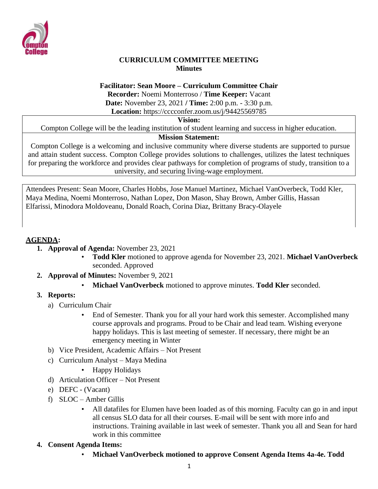

## **CURRICULUM COMMITTEE MEETING Minutes**

#### **Facilitator: Sean Moore – Curriculum Committee Chair**

**Recorder:** Noemi Monterroso / **Time Keeper:** Vacant

**Date:** November 23, 2021 **/ Time:** 2:00 p.m. - 3:30 p.m.

**Location:** https://cccconfer.zoom.us/j/94425569785

**Vision:**

Compton College will be the leading institution of student learning and success in higher education.

# **Mission Statement:**

Compton College is a welcoming and inclusive community where diverse students are supported to pursue and attain student success. Compton College provides solutions to challenges, utilizes the latest techniques for preparing the workforce and provides clear pathways for completion of programs of study, transition to a university, and securing living-wage employment.

Attendees Present: Sean Moore, Charles Hobbs, Jose Manuel Martinez, Michael VanOverbeck, Todd Kler, Maya Medina, Noemi Monterroso, Nathan Lopez, Don Mason, Shay Brown, Amber Gillis, Hassan Elfarissi, Minodora Moldoveanu, Donald Roach, Corina Diaz, Brittany Bracy-Olayele

## **AGENDA:**

- **1. Approval of Agenda:** November 23, 2021
	- **Todd Kler** motioned to approve agenda for November 23, 2021. **Michael VanOverbeck** seconded. Approved
- **2. Approval of Minutes:** November 9, 2021
	- **Michael VanOverbeck** motioned to approve minutes. **Todd Kler** seconded.

## **3. Reports:**

- a) Curriculum Chair
	- End of Semester. Thank you for all your hard work this semester. Accomplished many course approvals and programs. Proud to be Chair and lead team. Wishing everyone happy holidays. This is last meeting of semester. If necessary, there might be an emergency meeting in Winter
- b) Vice President, Academic Affairs Not Present
- c) Curriculum Analyst Maya Medina
	- Happy Holidays
- d) Articulation Officer Not Present
- e) DEFC (Vacant)
- f) SLOC Amber Gillis
	- All datafiles for Elumen have been loaded as of this morning. Faculty can go in and input all census SLO data for all their courses. E-mail will be sent with more info and instructions. Training available in last week of semester. Thank you all and Sean for hard work in this committee

## **4. Consent Agenda Items:**

• **Michael VanOverbeck motioned to approve Consent Agenda Items 4a-4e. Todd**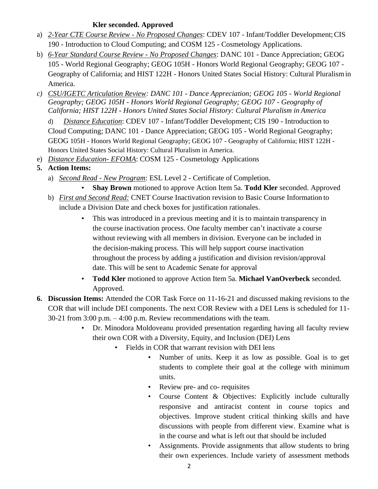## **Kler seconded. Approved**

- a) *2-Year CTE Course Review - No Proposed Changes*: CDEV 107 Infant/Toddler Development;CIS 190 - Introduction to Cloud Computing; and COSM 125 - Cosmetology Applications.
- b) *6-Year Standard Course Review - No Proposed Changes*: DANC 101 Dance Appreciation; GEOG 105 - World Regional Geography; GEOG 105H - Honors World Regional Geography; GEOG 107 - Geography of California; and HIST 122H - Honors United States Social History: Cultural Pluralismin America.
- *c) CSU/IGETC Articulation Review: DANC 101 - Dance Appreciation; GEOG 105 - World Regional Geography; GEOG 105H - Honors World Regional Geography; GEOG 107 - Geography of California; HIST 122H - Honors United States Social History: Cultural Pluralism in America*

d) *Distance Education*: CDEV 107 - Infant/Toddler Development; CIS 190 - Introduction to Cloud Computing; DANC 101 - Dance Appreciation; GEOG 105 - World Regional Geography; GEOG 105H - Honors World Regional Geography; GEOG 107 - Geography of California; HIST 122H - Honors United States Social History: Cultural Pluralism in America.

e) *Distance Education- EFOMA*: COSM 125 - Cosmetology Applications

# **5. Action Items:**

- a) *Second Read - New Program*: ESL Level 2 Certificate of Completion.
	- **Shay Brown** motioned to approve Action Item 5a. **Todd Kler** seconded. Approved
- b) *First and Second Read:* CNET Course Inactivation revision to Basic Course Information to include a Division Date and check boxes for justification rationales.
	- This was introduced in a previous meeting and it is to maintain transparency in the course inactivation process. One faculty member can't inactivate a course without reviewing with all members in division. Everyone can be included in the decision-making process. This will help support course inactivation throughout the process by adding a justification and division revision/approval date. This will be sent to Academic Senate for approval
	- **Todd Kler** motioned to approve Action Item 5a. **Michael VanOverbeck** seconded. Approved.
- **6. Discussion Items:** Attended the COR Task Force on 11-16-21 and discussed making revisions to the COR that will include DEI components. The next COR Review with a DEI Lens is scheduled for 11- 30-21 from 3:00 p.m. – 4:00 p.m. Review recommendations with the team.
	- Dr. Minodora Moldoveanu provided presentation regarding having all faculty review their own COR with a Diversity, Equity, and Inclusion (DEI) Lens
		- Fields in COR that warrant revision with DEI lens
			- Number of units. Keep it as low as possible. Goal is to get students to complete their goal at the college with minimum units.
			- Review pre- and co- requisites
			- Course Content & Objectives: Explicitly include culturally responsive and antiracist content in course topics and objectives. Improve student critical thinking skills and have discussions with people from different view. Examine what is in the course and what is left out that should be included
			- Assignments. Provide assignments that allow students to bring their own experiences. Include variety of assessment methods